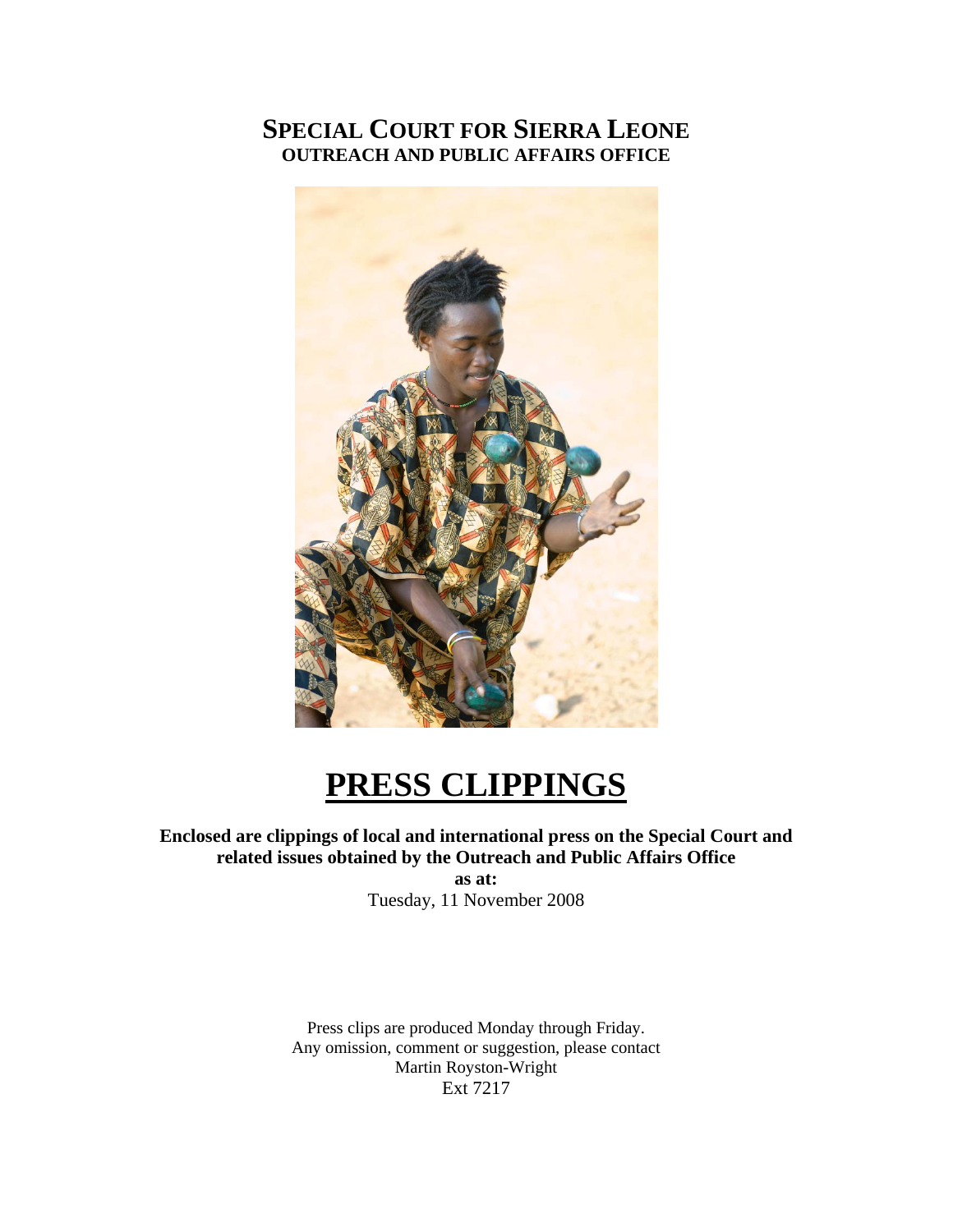# **SPECIAL COURT FOR SIERRA LEONE OUTREACH AND PUBLIC AFFAIRS OFFICE**



# **PRESS CLIPPINGS**

## **Enclosed are clippings of local and international press on the Special Court and related issues obtained by the Outreach and Public Affairs Office**

**as at:**  Tuesday, 11 November 2008

Press clips are produced Monday through Friday. Any omission, comment or suggestion, please contact Martin Royston-Wright Ext 7217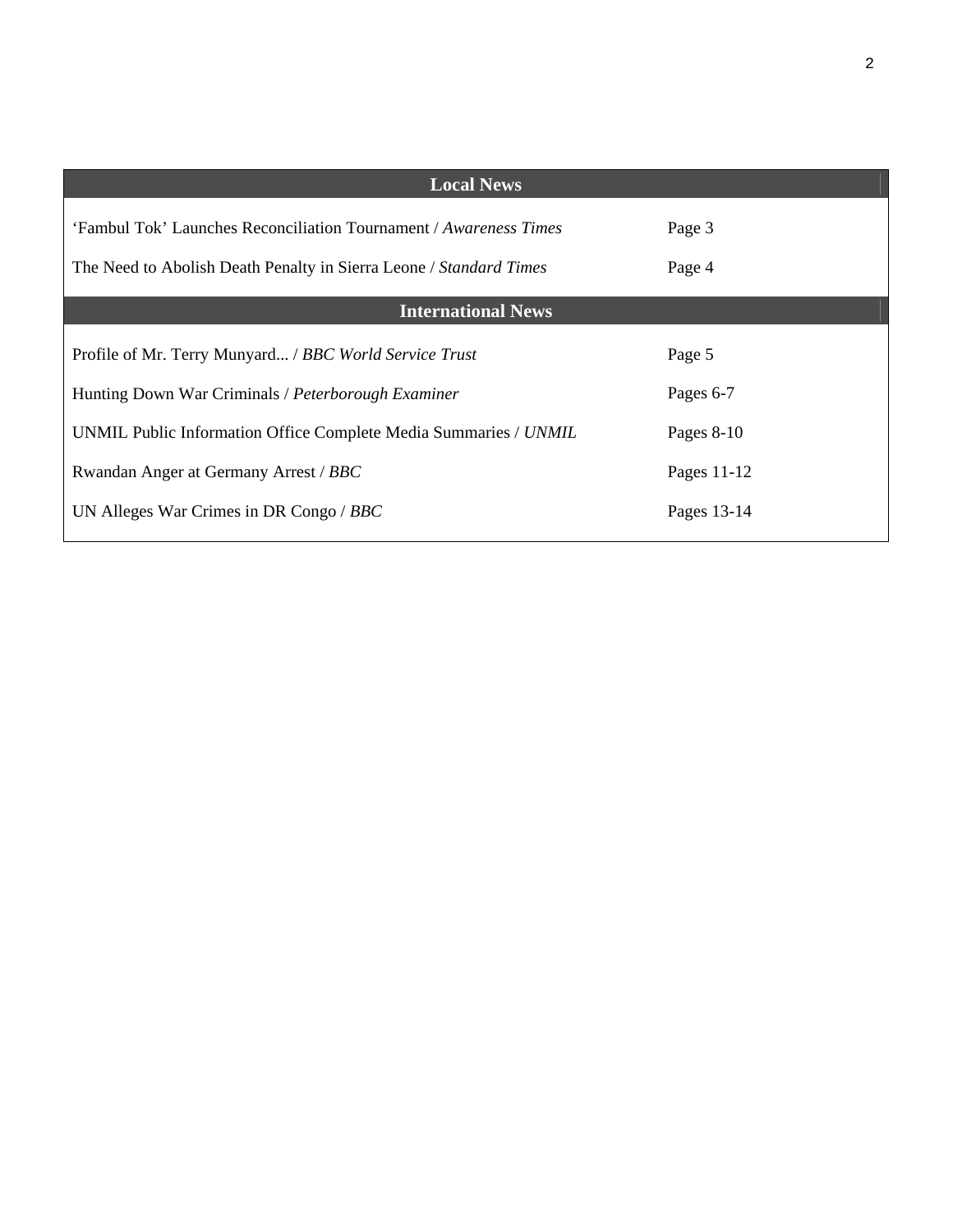| <b>Local News</b>                                                  |              |
|--------------------------------------------------------------------|--------------|
| 'Fambul Tok' Launches Reconciliation Tournament / Awareness Times  | Page 3       |
| The Need to Abolish Death Penalty in Sierra Leone / Standard Times | Page 4       |
| <b>International News</b>                                          |              |
| Profile of Mr. Terry Munyard / BBC World Service Trust             | Page 5       |
| Hunting Down War Criminals / Peterborough Examiner                 | Pages 6-7    |
| UNMIL Public Information Office Complete Media Summaries / UNMIL   | Pages $8-10$ |
| Rwandan Anger at Germany Arrest / BBC                              | Pages 11-12  |
| UN Alleges War Crimes in DR Congo / BBC                            | Pages 13-14  |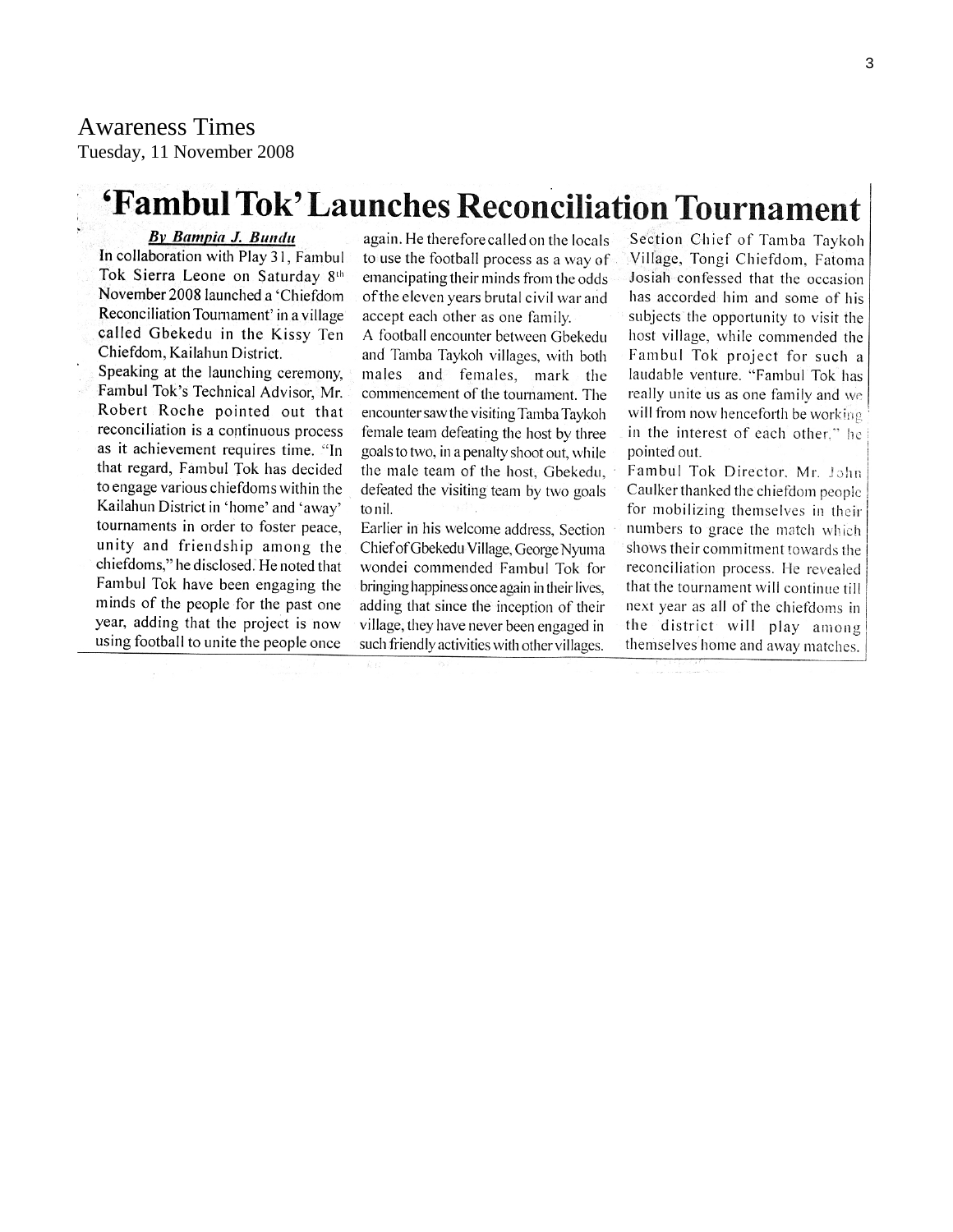# Awareness Times

Tuesday, 11 November 2008

# 'Fambul Tok' Launches Reconciliation Tournament

#### By Bampia J. Bundu

In collaboration with Play 31, Fambul Tok Sierra Leone on Saturday 8th November 2008 launched a 'Chiefdom Reconciliation Tournament' in a village called Gbekedu in the Kissy Ten Chiefdom, Kailahun District.

Speaking at the launching ceremony. Fambul Tok's Technical Advisor, Mr. Robert Roche pointed out that reconciliation is a continuous process as it achievement requires time. "In that regard, Fambul Tok has decided to engage various chiefdoms within the Kailahun District in 'home' and 'away' tournaments in order to foster peace. unity and friendship among the chiefdoms," he disclosed. He noted that Fambul Tok have been engaging the minds of the people for the past one year, adding that the project is now using football to unite the people once

again. He therefore called on the locals to use the football process as a way of emancipating their minds from the odds of the eleven years brutal civil war and accept each other as one family.

A football encounter between Gbekedu and Tamba Taykoh villages, with both males and females, mark the commencement of the tournament. The encounter saw the visiting Tamba Taykoh female team defeating the host by three goals to two, in a penalty shoot out, while the male team of the host, Gbekedu, defeated the visiting team by two goals to nil.

Earlier in his welcome address, Section Chief of Gbekedu Village, George Nyuma wondei commended Fambul Tok for bringing happiness once again in their lives. adding that since the inception of their village, they have never been engaged in such friendly activities with other villages.

Section Chief of Tamba Taykoh Village, Tongi Chiefdom, Fatoma Josiah confessed that the occasion has accorded him and some of his subjects the opportunity to visit the host village, while commended the Fambul Tok project for such a laudable venture. "Fambul Tok has really unite us as one family and we will from now henceforth be working in the interest of each other." he pointed out.

Fambul Tok Director, Mr. John Caulker thanked the chiefdom people for mobilizing themselves in their numbers to grace the match which shows their commitment towards the reconciliation process. He revealed that the tournament will continue till next year as all of the chiefdoms in the district will play among themselves home and away matches.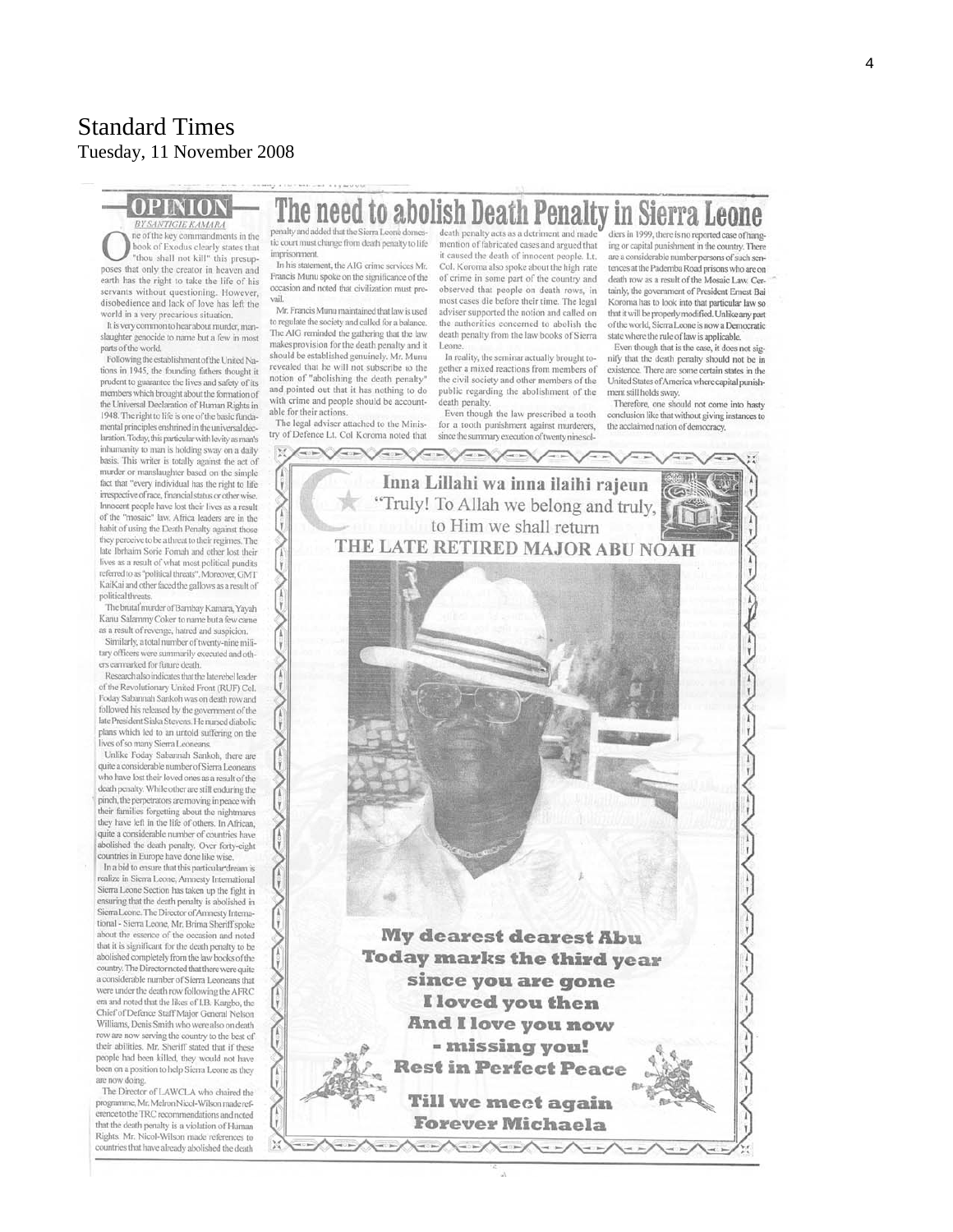# Standard Times Tuesday, 11 November 2008

# **BY SANTIGIE KAMARA**

#### The need to abolish Death Penalty in Sierra Leone death penalty acts as a detriment and made

ne of the key commandments in the ok of Exodus clearly states that "thou shall not kill" this presupposes that only the creator in heaven and earth has the right to take the life of his servants without questioning. However, disobedience and lack of love has left the world in a very precarious situation.

It is very common to hear about murder, manslaughter genocide to name but a few in most parts of the world.

Following the establishment of the United Nations in 1945, the founding fathers thought it prudent to guarantee the lives and safety of its members which brought about the formation of the Universal Declaration of Human Rights in 1948. The right to life is one of the basic fundamental principles enshrined in the universal declaration. Today, this particular with levity as man's inhumanity to man is holding sway on a daily basis. This writer is totally against the act of murder or manslaughter based on the simple fact that "every individual has the right to life irrespective of race. financial status or other wise Innocent people have lost their lives as a result of the "mosaic" law. Africa leaders are in the habit of using the Death Penalty against those they perceive to be a threat to their regimes. The late Ibrhaim Sorie Fornah and other lost their lives as a result of what most political pundits referred to as "political threats". Moreover, GMT KaiKai and other faced the gallows as a result of political threats.

The brutal murder of Bambay Kamara, Yayah Kanu Salammy Coker to name but a few came as a result of revenge, hatred and suspicion. Similarly, a total number of twenty-nine military officers were summarily executed and oth-

ers earmarked for future death. Research also indicates that the late rebel leader of the Revolutionary United Front (RUF) Col. Foday Sabannah Sankoh was on death row and followed his released by the government of the late President Siaka Stevens. He nursed diabolic plans which led to an untold suffering on the

lives of so many Sierra Leoneans. Unlike Foday Sabannah Sankoh, there are quite a considerable number of Sierra Leonea who have lost their loved ones as a result of the death penalty. While other are still enduring the pinch, the perpetrators are moving in peace with their families forgetting about the nightmares they have left in the life of others. In African, quite a considerable number of countries have abolished the death penalty. Over forty-eight countries in Europe have done like wise

In a bid to ensure that this particular dream is ealize in Sierra Leone, Amnesty International Sierra Leone Section has taken up the fight in ensuring that the death penalty is abolished in Sierra Leone. The Director of Amnesty International - Sierra Leone, Mr. Brima Sheriff spoke about the essence of the occasion and noted that it is significant for the death penalty to be abolished completely from the law books of the country. The Director noted that there were quite a considerable number of Sierra Leoneans that were under the death row following the AFRC era and noted that the likes of I.B. Kargbo, the Chief of Defence Staff Major General Nelson Williams, Denis Smith who were also on death row are now serving the country to the best of their abilities. Mr. Sheriff stated that if these people had been killed, they would not have been on a position to help Sierra Leone as they are now doing.

The Director of LAWCLA who chaired the programme, Mr. Melron Nicol-Wilson made reference to the TRC recommendations and noted that the death penalty is a violation of Human Rights. Mr. Nicol-Wilson made references to countries that have already abolished the death

penalty and added that the Sierra Leone domestic court must change from death penalty to life imprisonment. In his statement, the AIG crime services Mr

Francis Munu spoke on the significance of the occasion and noted that civilization must prelieu

Mr. Francis Munu maintained that law is used to regulate the society and called for a balance. The AIG reminded the gathering that the law makes provision for the death penalty and it should be established genuinely. Mr. Munu revealed that he will not subscribe to the notion of "abolishing the death penalty" and pointed out that it has nothing to do with crime and people should be accountable for their actions.

The legal adviser attached to the Ministry of Defence Lt. Col Koroma noted that

mention of fabricated cases and argued that it caused the death of innocent people. Lt. Col. Koroma also spoke about the high rate of crime in some part of the country and observed that people on death rows, in<br>most cases die before their time. The legal adviser supported the notion and called on the authorities concerned to abolish the death penalty from the law books of Sierra Leone.

In reality, the seminar actually brought together a mixed reactions from members of the civil society and other members of the public regarding the abolishment of the death penalty.

Even though the law prescribed a tooth for a tooth punishment against murderers, since the summary execution of twenty nine sol-

Inna Lillahi wa inna ilaihi rajeun

diers in 1999, there is no reported case of hanging or capital punishment in the country. There are a considerable number persons of such sentences at the Pademba Road prisons who are on death row as a result of the Mosaic Law. Certainly, the government of President Ernest Bai Koroma has to look into that particular law so that it will be properly modified. Unlike any nart of the world, Sierra Leone is now a Democratic state where the rule of law is applicable.

Even though that is the case, it does not signify that the death penalty should not be in existence. There are some certain states in the United States of America where capital punishment still holds sway.

Therefore, one should not come into hasty conclusion like that without giving instances to the acclaimed nation of democracy.



**A--A--A--A--**

4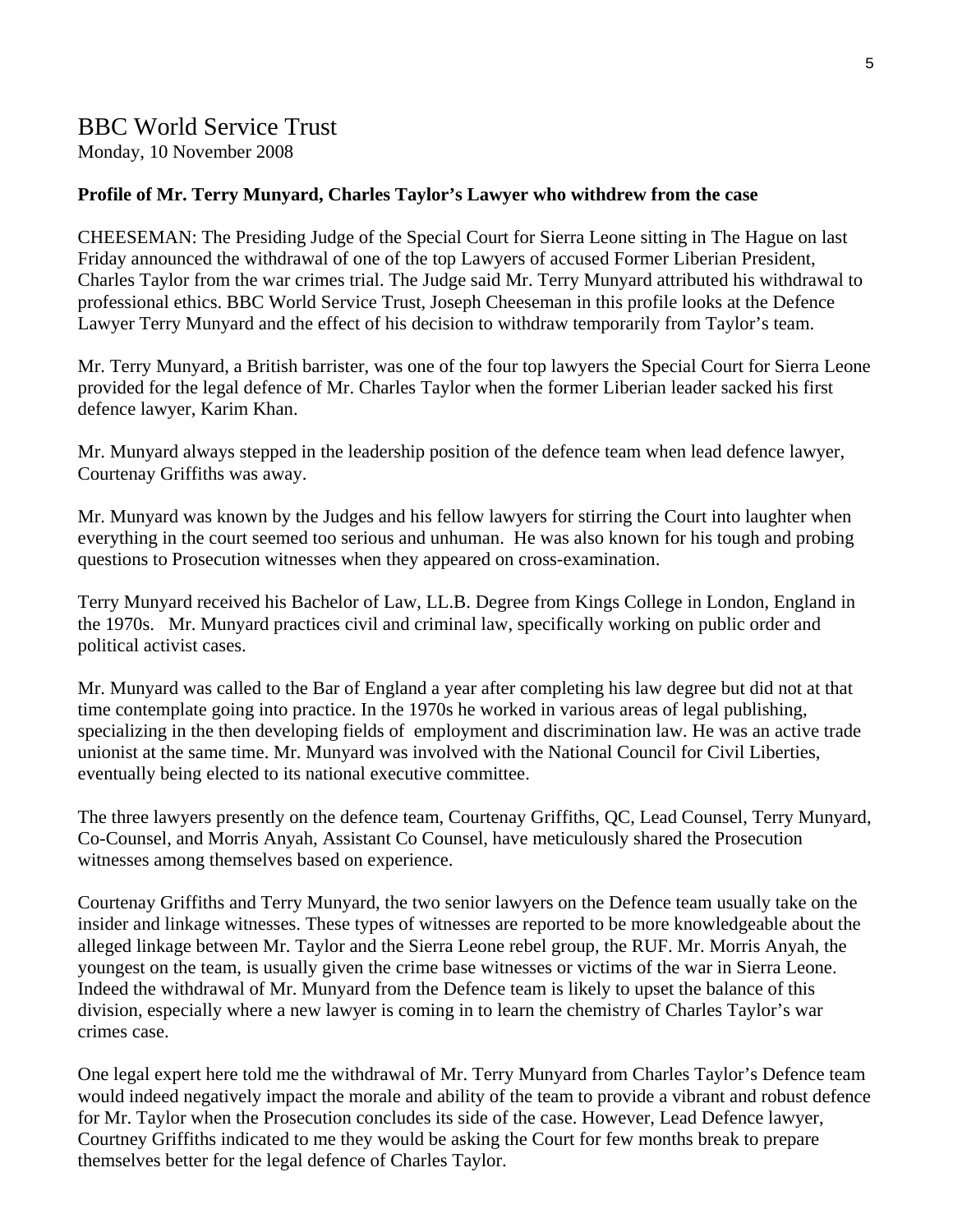# BBC World Service Trust

Monday, 10 November 2008

#### **Profile of Mr. Terry Munyard, Charles Taylor's Lawyer who withdrew from the case**

CHEESEMAN: The Presiding Judge of the Special Court for Sierra Leone sitting in The Hague on last Friday announced the withdrawal of one of the top Lawyers of accused Former Liberian President, Charles Taylor from the war crimes trial. The Judge said Mr. Terry Munyard attributed his withdrawal to professional ethics. BBC World Service Trust, Joseph Cheeseman in this profile looks at the Defence Lawyer Terry Munyard and the effect of his decision to withdraw temporarily from Taylor's team.

Mr. Terry Munyard, a British barrister, was one of the four top lawyers the Special Court for Sierra Leone provided for the legal defence of Mr. Charles Taylor when the former Liberian leader sacked his first defence lawyer, Karim Khan.

Mr. Munyard always stepped in the leadership position of the defence team when lead defence lawyer, Courtenay Griffiths was away.

Mr. Munyard was known by the Judges and his fellow lawyers for stirring the Court into laughter when everything in the court seemed too serious and unhuman. He was also known for his tough and probing questions to Prosecution witnesses when they appeared on cross-examination.

Terry Munyard received his Bachelor of Law, LL.B. Degree from Kings College in London, England in the 1970s. Mr. Munyard practices civil and criminal law, specifically working on public order and political activist cases.

Mr. Munyard was called to the Bar of England a year after completing his law degree but did not at that time contemplate going into practice. In the 1970s he worked in various areas of legal publishing, specializing in the then developing fields of employment and discrimination law. He was an active trade unionist at the same time. Mr. Munyard was involved with the National Council for Civil Liberties, eventually being elected to its national executive committee.

The three lawyers presently on the defence team, Courtenay Griffiths, QC, Lead Counsel, Terry Munyard, Co-Counsel, and Morris Anyah, Assistant Co Counsel, have meticulously shared the Prosecution witnesses among themselves based on experience.

Courtenay Griffiths and Terry Munyard, the two senior lawyers on the Defence team usually take on the insider and linkage witnesses. These types of witnesses are reported to be more knowledgeable about the alleged linkage between Mr. Taylor and the Sierra Leone rebel group, the RUF. Mr. Morris Anyah, the youngest on the team, is usually given the crime base witnesses or victims of the war in Sierra Leone. Indeed the withdrawal of Mr. Munyard from the Defence team is likely to upset the balance of this division, especially where a new lawyer is coming in to learn the chemistry of Charles Taylor's war crimes case.

One legal expert here told me the withdrawal of Mr. Terry Munyard from Charles Taylor's Defence team would indeed negatively impact the morale and ability of the team to provide a vibrant and robust defence for Mr. Taylor when the Prosecution concludes its side of the case. However, Lead Defence lawyer, Courtney Griffiths indicated to me they would be asking the Court for few months break to prepare themselves better for the legal defence of Charles Taylor.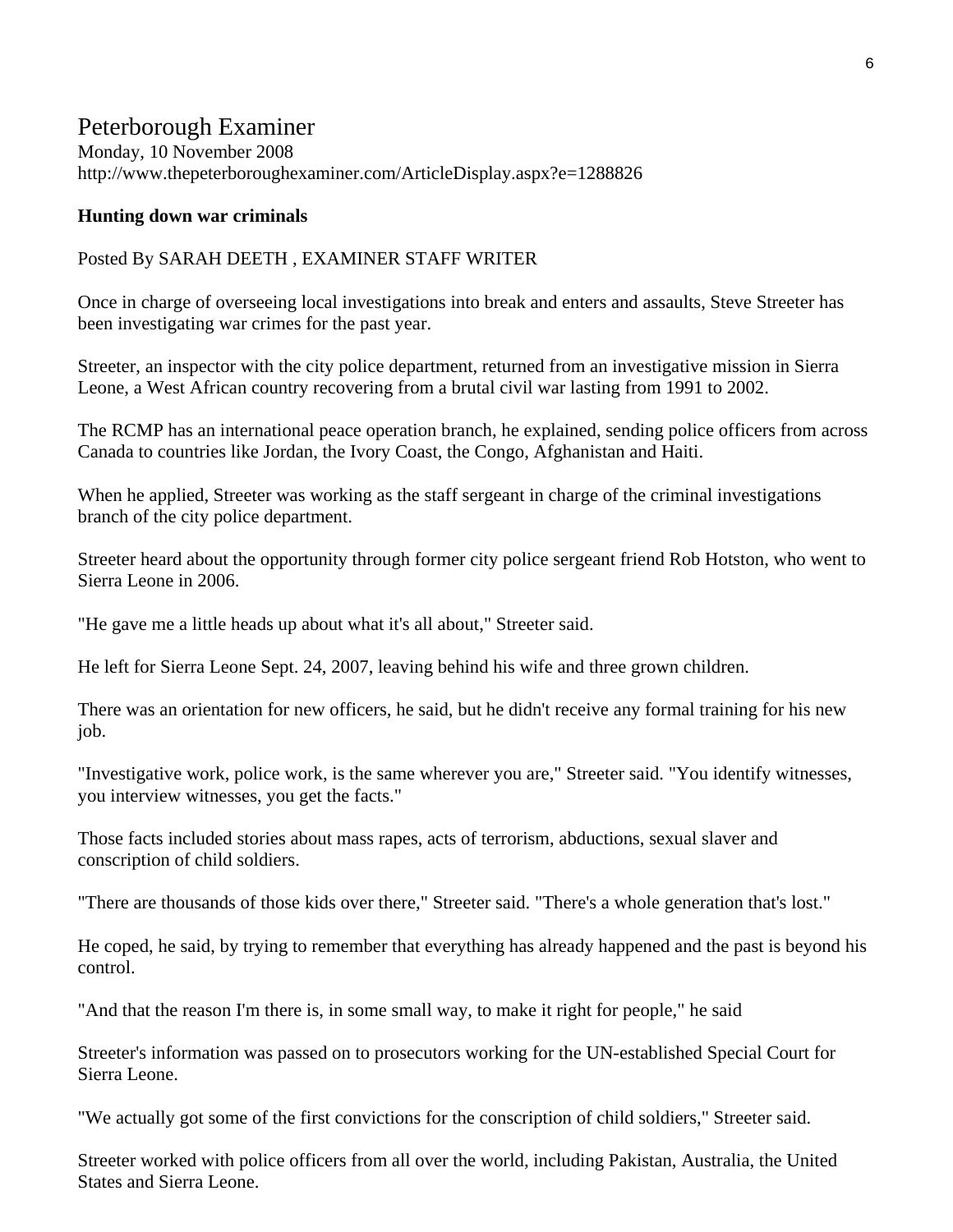# Peterborough Examiner

Monday, 10 November 2008 http://www.thepeterboroughexaminer.com/ArticleDisplay.aspx?e=1288826

### **Hunting down war criminals**

### Posted By SARAH DEETH , EXAMINER STAFF WRITER

Once in charge of overseeing local investigations into break and enters and assaults, Steve Streeter has been investigating war crimes for the past year.

Streeter, an inspector with the city police department, returned from an investigative mission in Sierra Leone, a West African country recovering from a brutal civil war lasting from 1991 to 2002.

The RCMP has an international peace operation branch, he explained, sending police officers from across Canada to countries like Jordan, the Ivory Coast, the Congo, Afghanistan and Haiti.

When he applied, Streeter was working as the staff sergeant in charge of the criminal investigations branch of the city police department.

Streeter heard about the opportunity through former city police sergeant friend Rob Hotston, who went to Sierra Leone in 2006.

"He gave me a little heads up about what it's all about," Streeter said.

He left for Sierra Leone Sept. 24, 2007, leaving behind his wife and three grown children.

There was an orientation for new officers, he said, but he didn't receive any formal training for his new job.

"Investigative work, police work, is the same wherever you are," Streeter said. "You identify witnesses, you interview witnesses, you get the facts."

Those facts included stories about mass rapes, acts of terrorism, abductions, sexual slaver and conscription of child soldiers.

"There are thousands of those kids over there," Streeter said. "There's a whole generation that's lost."

He coped, he said, by trying to remember that everything has already happened and the past is beyond his control.

"And that the reason I'm there is, in some small way, to make it right for people," he said

Streeter's information was passed on to prosecutors working for the UN-established Special Court for Sierra Leone.

"We actually got some of the first convictions for the conscription of child soldiers," Streeter said.

Streeter worked with police officers from all over the world, including Pakistan, Australia, the United States and Sierra Leone.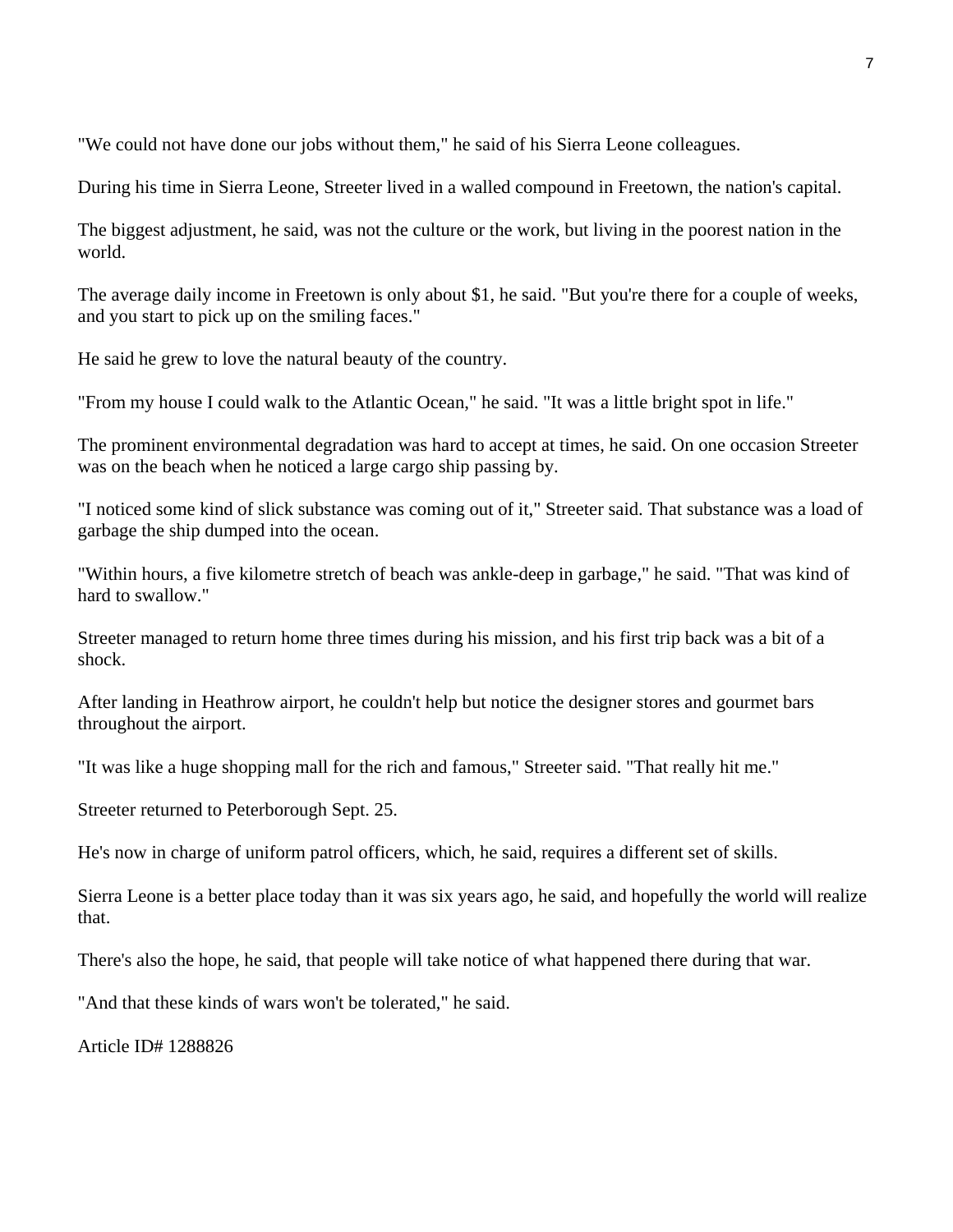"We could not have done our jobs without them," he said of his Sierra Leone colleagues.

During his time in Sierra Leone, Streeter lived in a walled compound in Freetown, the nation's capital.

The biggest adjustment, he said, was not the culture or the work, but living in the poorest nation in the world.

The average daily income in Freetown is only about \$1, he said. "But you're there for a couple of weeks, and you start to pick up on the smiling faces."

He said he grew to love the natural beauty of the country.

"From my house I could walk to the Atlantic Ocean," he said. "It was a little bright spot in life."

The prominent environmental degradation was hard to accept at times, he said. On one occasion Streeter was on the beach when he noticed a large cargo ship passing by.

"I noticed some kind of slick substance was coming out of it," Streeter said. That substance was a load of garbage the ship dumped into the ocean.

"Within hours, a five kilometre stretch of beach was ankle-deep in garbage," he said. "That was kind of hard to swallow."

Streeter managed to return home three times during his mission, and his first trip back was a bit of a shock.

After landing in Heathrow airport, he couldn't help but notice the designer stores and gourmet bars throughout the airport.

"It was like a huge shopping mall for the rich and famous," Streeter said. "That really hit me."

Streeter returned to Peterborough Sept. 25.

He's now in charge of uniform patrol officers, which, he said, requires a different set of skills.

Sierra Leone is a better place today than it was six years ago, he said, and hopefully the world will realize that.

There's also the hope, he said, that people will take notice of what happened there during that war.

"And that these kinds of wars won't be tolerated," he said.

Article ID# 1288826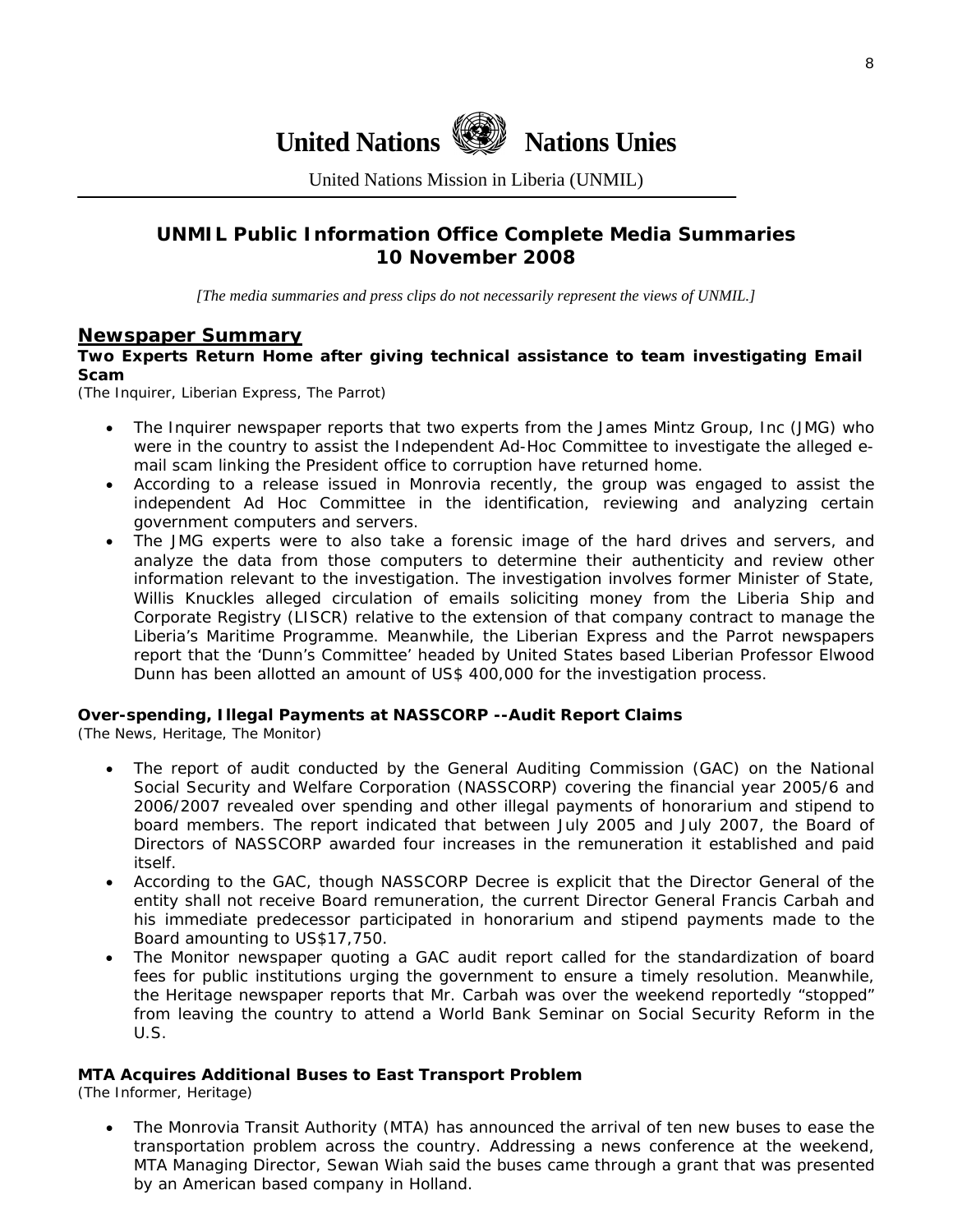



United Nations Mission in Liberia (UNMIL)

# **UNMIL Public Information Office Complete Media Summaries 10 November 2008**

*[The media summaries and press clips do not necessarily represent the views of UNMIL.]* 

### **Newspaper Summary**

#### **Two Experts Return Home after giving technical assistance to team investigating Email Scam**

(The Inquirer, Liberian Express, The Parrot)

- The Inquirer newspaper reports that two experts from the James Mintz Group, Inc (JMG) who were in the country to assist the Independent Ad-Hoc Committee to investigate the alleged email scam linking the President office to corruption have returned home.
- According to a release issued in Monrovia recently, the group was engaged to assist the independent Ad Hoc Committee in the identification, reviewing and analyzing certain government computers and servers.
- The JMG experts were to also take a forensic image of the hard drives and servers, and analyze the data from those computers to determine their authenticity and review other information relevant to the investigation. The investigation involves former Minister of State, Willis Knuckles alleged circulation of emails soliciting money from the Liberia Ship and Corporate Registry (LISCR) relative to the extension of that company contract to manage the Liberia's Maritime Programme. Meanwhile, the Liberian Express and the Parrot newspapers report that the 'Dunn's Committee' headed by United States based Liberian Professor Elwood Dunn has been allotted an amount of US\$ 400,000 for the investigation process.

### **Over-spending, Illegal Payments at NASSCORP --Audit Report Claims**

(The News, Heritage, The Monitor)

- The report of audit conducted by the General Auditing Commission (GAC) on the National Social Security and Welfare Corporation (NASSCORP) covering the financial year 2005/6 and 2006/2007 revealed over spending and other illegal payments of honorarium and stipend to board members. The report indicated that between July 2005 and July 2007, the Board of Directors of NASSCORP awarded four increases in the remuneration it established and paid itself.
- According to the GAC, though NASSCORP Decree is explicit that the Director General of the entity shall not receive Board remuneration, the current Director General Francis Carbah and his immediate predecessor participated in honorarium and stipend payments made to the Board amounting to US\$17,750.
- The Monitor newspaper quoting a GAC audit report called for the standardization of board fees for public institutions urging the government to ensure a timely resolution. Meanwhile, the Heritage newspaper reports that Mr. Carbah was over the weekend reportedly "stopped" from leaving the country to attend a World Bank Seminar on Social Security Reform in the U.S.

#### **MTA Acquires Additional Buses to East Transport Problem**

(The Informer, Heritage)

• The Monrovia Transit Authority (MTA) has announced the arrival of ten new buses to ease the transportation problem across the country. Addressing a news conference at the weekend, MTA Managing Director, Sewan Wiah said the buses came through a grant that was presented by an American based company in Holland.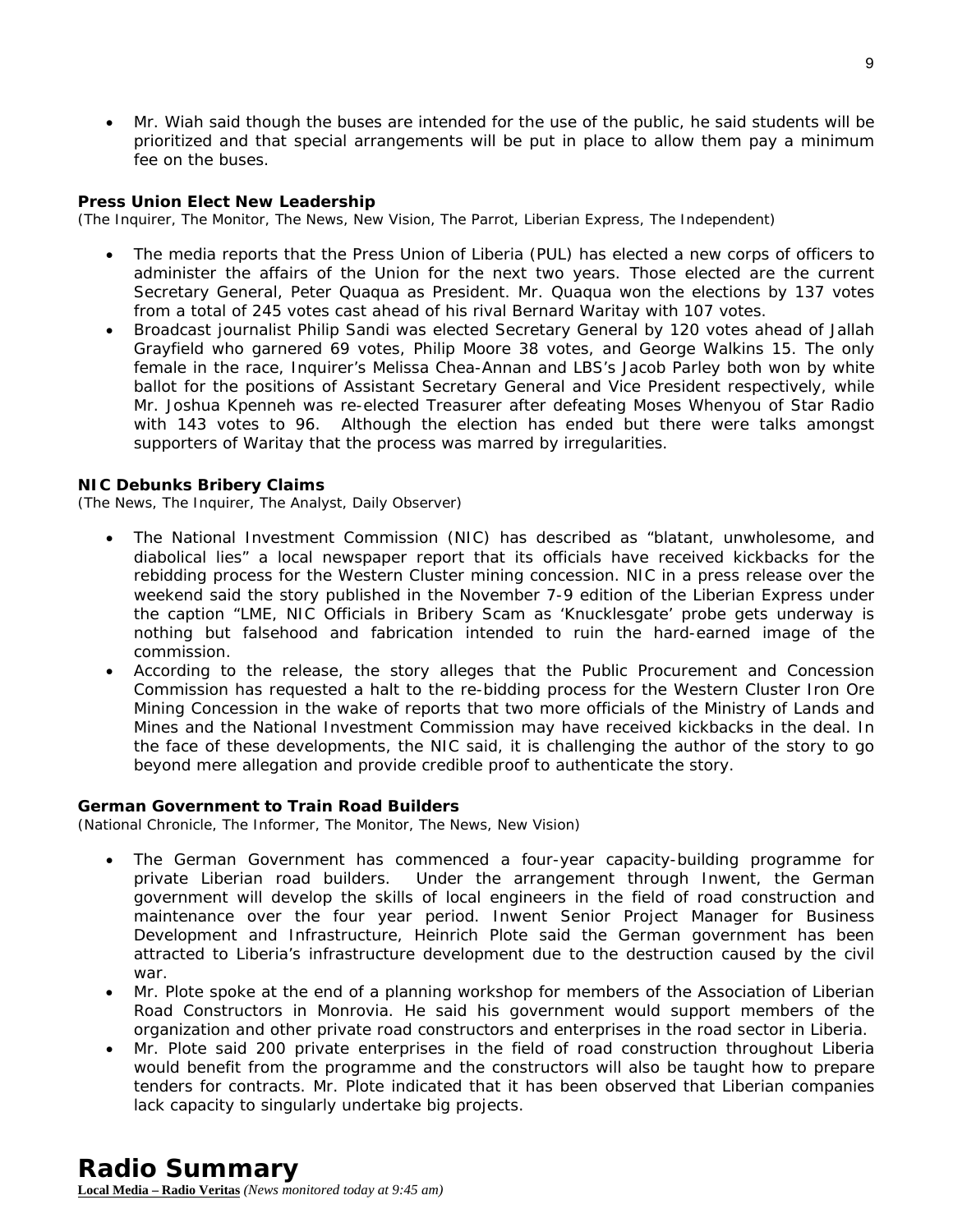• Mr. Wiah said though the buses are intended for the use of the public, he said students will be prioritized and that special arrangements will be put in place to allow them pay a minimum fee on the buses.

9

#### **Press Union Elect New Leadership**

(The Inquirer, The Monitor, The News, New Vision, The Parrot, Liberian Express, The Independent)

- The media reports that the Press Union of Liberia (PUL) has elected a new corps of officers to administer the affairs of the Union for the next two years. Those elected are the current Secretary General, Peter Quaqua as President. Mr. Quaqua won the elections by 137 votes from a total of 245 votes cast ahead of his rival Bernard Waritay with 107 votes.
- Broadcast journalist Philip Sandi was elected Secretary General by 120 votes ahead of Jallah Grayfield who garnered 69 votes, Philip Moore 38 votes, and George Walkins 15. The only female in the race, Inquirer's Melissa Chea-Annan and LBS's Jacob Parley both won by white ballot for the positions of Assistant Secretary General and Vice President respectively, while Mr. Joshua Kpenneh was re-elected Treasurer after defeating Moses Whenyou of Star Radio with 143 votes to 96. Although the election has ended but there were talks amongst supporters of Waritay that the process was marred by irregularities.

#### **NIC Debunks Bribery Claims**

(The News, The Inquirer, The Analyst, Daily Observer)

- The National Investment Commission (NIC) has described as "blatant, unwholesome, and diabolical lies" a local newspaper report that its officials have received kickbacks for the rebidding process for the Western Cluster mining concession. NIC in a press release over the weekend said the story published in the November 7-9 edition of the Liberian Express under the caption "LME, NIC Officials in Bribery Scam as 'Knucklesgate' probe gets underway is nothing but falsehood and fabrication intended to ruin the hard-earned image of the commission.
- According to the release, the story alleges that the Public Procurement and Concession Commission has requested a halt to the re-bidding process for the Western Cluster Iron Ore Mining Concession in the wake of reports that two more officials of the Ministry of Lands and Mines and the National Investment Commission may have received kickbacks in the deal. In the face of these developments, the NIC said, it is challenging the author of the story to go beyond mere allegation and provide credible proof to authenticate the story.

#### **German Government to Train Road Builders**

(National Chronicle, The Informer, The Monitor, The News, New Vision)

- The German Government has commenced a four-year capacity-building programme for private Liberian road builders. Under the arrangement through Inwent, the German government will develop the skills of local engineers in the field of road construction and maintenance over the four year period. Inwent Senior Project Manager for Business Development and Infrastructure, Heinrich Plote said the German government has been attracted to Liberia's infrastructure development due to the destruction caused by the civil war.
- Mr. Plote spoke at the end of a planning workshop for members of the Association of Liberian Road Constructors in Monrovia. He said his government would support members of the organization and other private road constructors and enterprises in the road sector in Liberia.
- Mr. Plote said 200 private enterprises in the field of road construction throughout Liberia would benefit from the programme and the constructors will also be taught how to prepare tenders for contracts. Mr. Plote indicated that it has been observed that Liberian companies lack capacity to singularly undertake big projects.

# **Radio Summary**

**Local Media – Radio Veritas** *(News monitored today at 9:45 am)*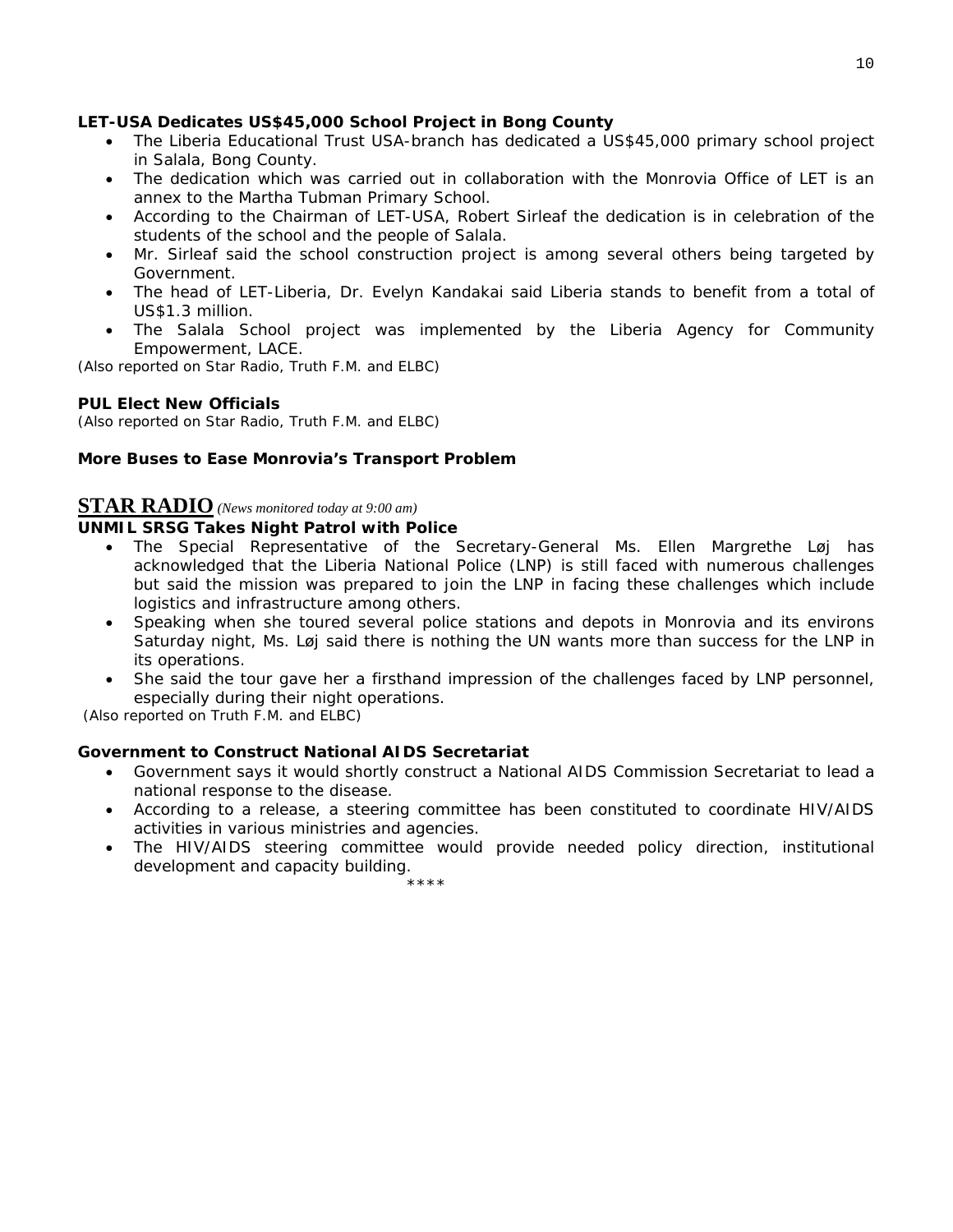#### **LET-USA Dedicates US\$45,000 School Project in Bong County**

- The Liberia Educational Trust USA-branch has dedicated a US\$45,000 primary school project in Salala, Bong County.
- The dedication which was carried out in collaboration with the Monrovia Office of LET is an annex to the Martha Tubman Primary School.
- According to the Chairman of LET-USA, Robert Sirleaf the dedication is in celebration of the students of the school and the people of Salala.
- Mr. Sirleaf said the school construction project is among several others being targeted by Government.
- The head of LET-Liberia, Dr. Evelyn Kandakai said Liberia stands to benefit from a total of US\$1.3 million.
- The Salala School project was implemented by the Liberia Agency for Community Empowerment, LACE.

*(Also reported on Star Radio, Truth F.M. and ELBC)*

#### **PUL Elect New Officials**

*(Also reported on Star Radio, Truth F.M. and ELBC)*

#### **More Buses to Ease Monrovia's Transport Problem**

# **STAR RADIO** *(News monitored today at 9:00 am)*

#### **UNMIL SRSG Takes Night Patrol with Police**

- The Special Representative of the Secretary-General Ms. Ellen Margrethe Løj has acknowledged that the Liberia National Police (LNP) is still faced with numerous challenges but said the mission was prepared to join the LNP in facing these challenges which include logistics and infrastructure among others.
- Speaking when she toured several police stations and depots in Monrovia and its environs Saturday night, Ms. Løj said there is nothing the UN wants more than success for the LNP in its operations.
- She said the tour gave her a firsthand impression of the challenges faced by LNP personnel, especially during their night operations.

*(Also reported on Truth F.M. and ELBC)* 

#### **Government to Construct National AIDS Secretariat**

\*\*\*\*

- Government says it would shortly construct a National AIDS Commission Secretariat to lead a national response to the disease.
- According to a release, a steering committee has been constituted to coordinate HIV/AIDS activities in various ministries and agencies.
- The HIV/AIDS steering committee would provide needed policy direction, institutional development and capacity building.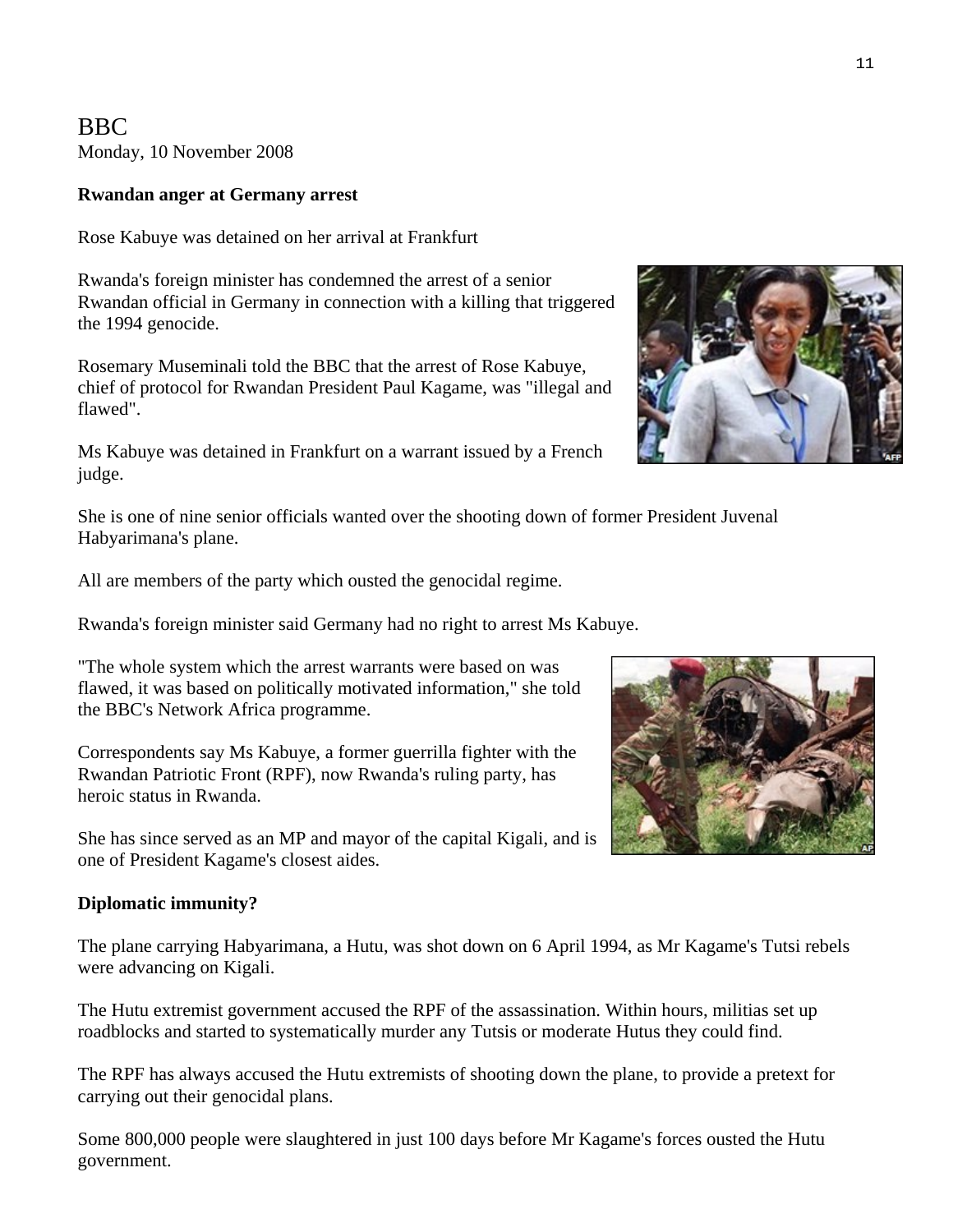# BBC Monday, 10 November 2008

### **Rwandan anger at Germany arrest**

Rose Kabuye was detained on her arrival at Frankfurt

Rwanda's foreign minister has condemned the arrest of a senior Rwandan official in Germany in connection with a killing that triggered the 1994 genocide.

Rosemary Museminali told the BBC that the arrest of Rose Kabuye, chief of protocol for Rwandan President Paul Kagame, was "illegal and flawed".

Ms Kabuye was detained in Frankfurt on a warrant issued by a French judge.

She is one of nine senior officials wanted over the shooting down of former President Juvenal Habyarimana's plane.

All are members of the party which ousted the genocidal regime.

Rwanda's foreign minister said Germany had no right to arrest Ms Kabuye.

"The whole system which the arrest warrants were based on was flawed, it was based on politically motivated information," she told the BBC's Network Africa programme.

Correspondents say Ms Kabuye, a former guerrilla fighter with the Rwandan Patriotic Front (RPF), now Rwanda's ruling party, has heroic status in Rwanda.

She has since served as an MP and mayor of the capital Kigali, and i s one of President Kagame's closest aides.

### **Diplomatic immunity?**

The plane carrying Habyarimana, a Hutu, was shot down on 6 April 1994, as Mr Kagame's Tutsi rebels were advancing on Kigali.

The Hutu extremist government accused the RPF of the assassination. Within hours, militias set up roadblocks and started to systematically murder any Tutsis or moderate Hutus they could find.

The RPF has always accused the Hutu extremists of shooting down the plane, to provide a pretext for carrying out their genocidal plans.

Some 800,000 people were slaughtered in just 100 days before Mr Kagame's forces ousted the Hutu government.



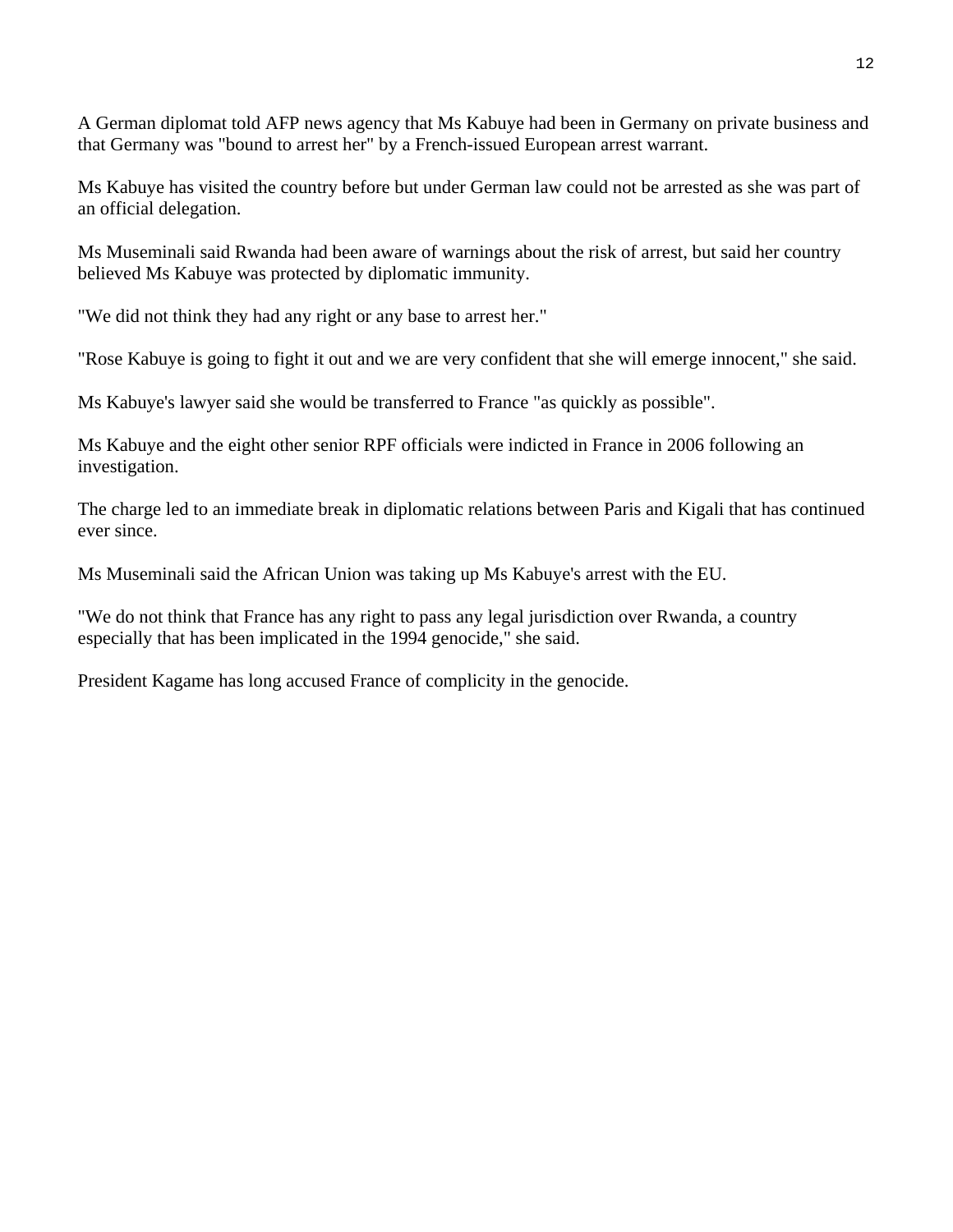A German diplomat told AFP news agency that Ms Kabuye had been in Germany on private business and that Germany was "bound to arrest her" by a French-issued European arrest warrant.

Ms Kabuye has visited the country before but under German law could not be arrested as she was part of an official delegation.

Ms Museminali said Rwanda had been aware of warnings about the risk of arrest, but said her country believed Ms Kabuye was protected by diplomatic immunity.

"We did not think they had any right or any base to arrest her."

"Rose Kabuye is going to fight it out and we are very confident that she will emerge innocent," she said.

Ms Kabuye's lawyer said she would be transferred to France "as quickly as possible".

Ms Kabuye and the eight other senior RPF officials were indicted in France in 2006 following an investigation.

The charge led to an immediate break in diplomatic relations between Paris and Kigali that has continued ever since.

Ms Museminali said the African Union was taking up Ms Kabuye's arrest with the EU.

"We do not think that France has any right to pass any legal jurisdiction over Rwanda, a country especially that has been implicated in the 1994 genocide," she said.

President Kagame has long accused France of complicity in the genocide.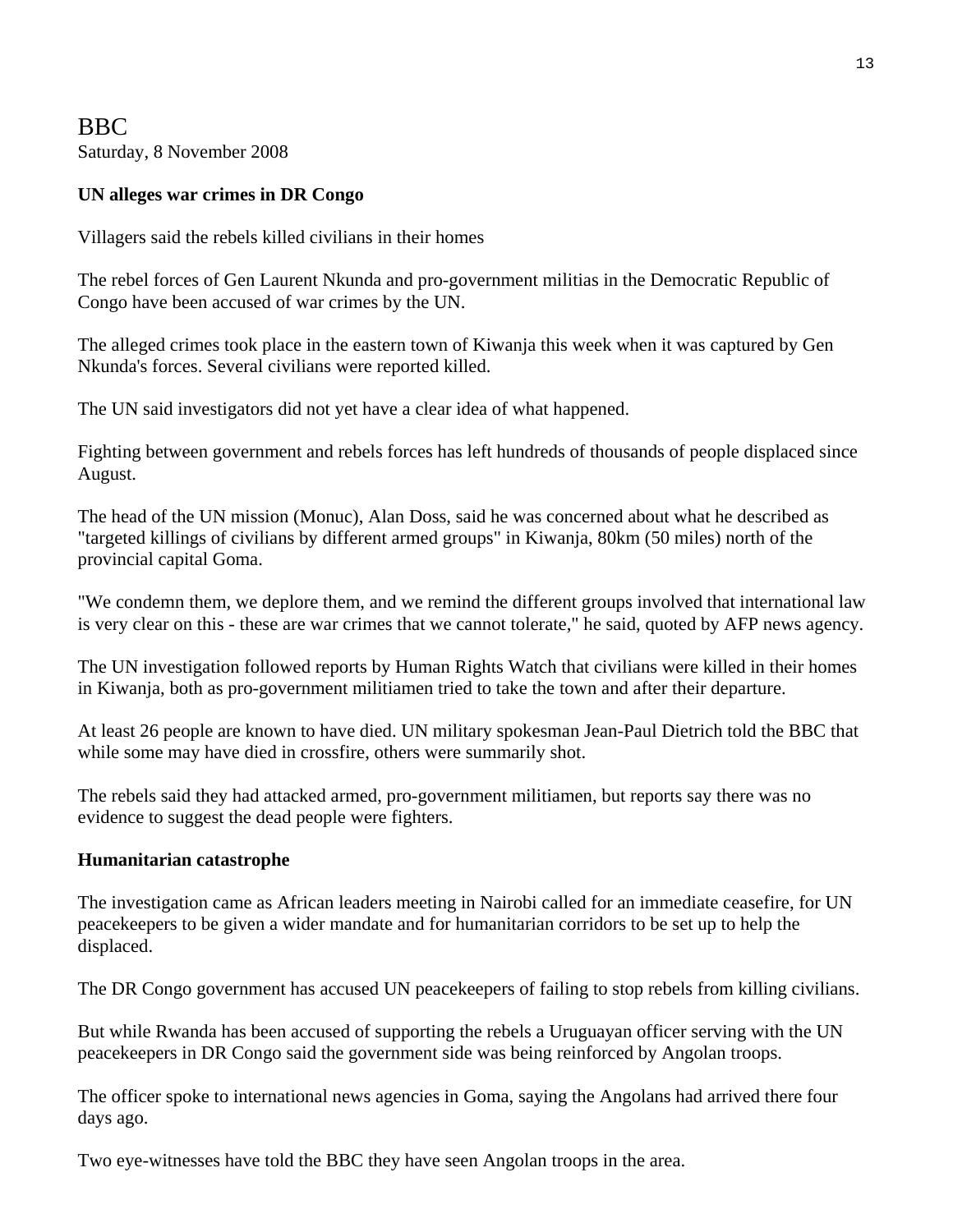# BBC Saturday, 8 November 2008

## **UN alleges war crimes in DR Congo**

Villagers said the rebels killed civilians in their homes

The rebel forces of Gen Laurent Nkunda and pro-government militias in the Democratic Republic of Congo have been accused of war crimes by the UN.

The alleged crimes took place in the eastern town of Kiwanja this week when it was captured by Gen Nkunda's forces. Several civilians were reported killed.

The UN said investigators did not yet have a clear idea of what happened.

Fighting between government and rebels forces has left hundreds of thousands of people displaced since August.

The head of the UN mission (Monuc), Alan Doss, said he was concerned about what he described as "targeted killings of civilians by different armed groups" in Kiwanja, 80km (50 miles) north of the provincial capital Goma.

"We condemn them, we deplore them, and we remind the different groups involved that international law is very clear on this - these are war crimes that we cannot tolerate," he said, quoted by AFP news agency.

The UN investigation followed reports by Human Rights Watch that civilians were killed in their homes in Kiwanja, both as pro-government militiamen tried to take the town and after their departure.

At least 26 people are known to have died. UN military spokesman Jean-Paul Dietrich told the BBC that while some may have died in crossfire, others were summarily shot.

The rebels said they had attacked armed, pro-government militiamen, but reports say there was no evidence to suggest the dead people were fighters.

### **Humanitarian catastrophe**

The investigation came as African leaders meeting in Nairobi called for an immediate ceasefire, for UN peacekeepers to be given a wider mandate and for humanitarian corridors to be set up to help the displaced.

The DR Congo government has accused UN peacekeepers of failing to stop rebels from killing civilians.

But while Rwanda has been accused of supporting the rebels a Uruguayan officer serving with the UN peacekeepers in DR Congo said the government side was being reinforced by Angolan troops.

The officer spoke to international news agencies in Goma, saying the Angolans had arrived there four days ago.

Two eye-witnesses have told the BBC they have seen Angolan troops in the area.